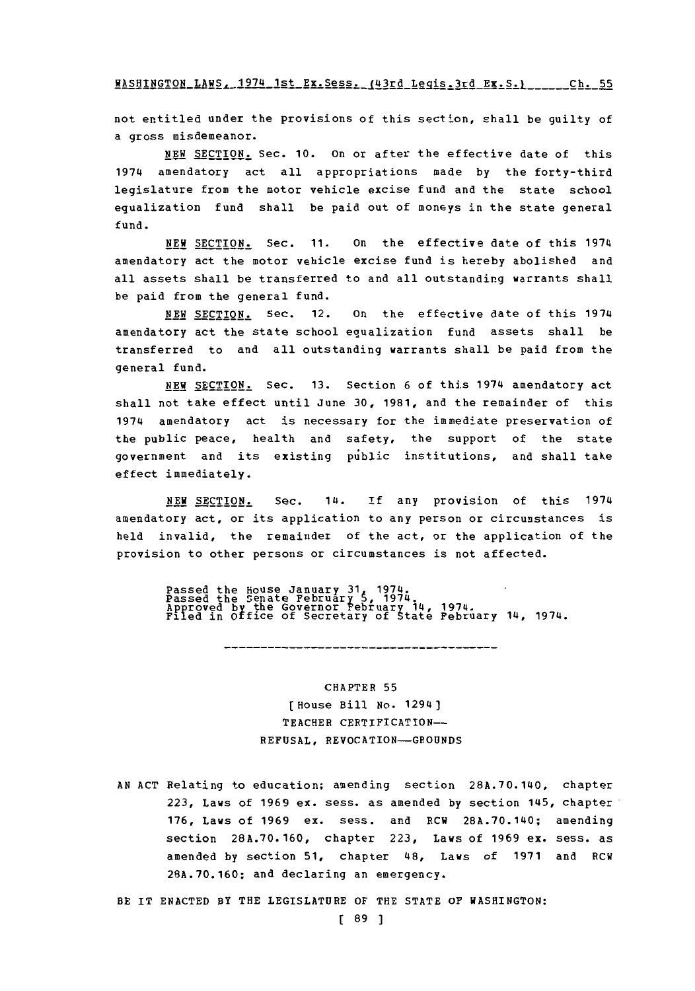**WASHINGTON** LAWS~, 1974 1st **Ex.Sess.** (43rd Lecjis 3rd **EX.S.** V **-, CZ C**

not entitled under the provisions of this section, shall be guilty of a gross misdemeanor.

**NEW** SECTION. Sec. **10.** on or after the effective date of this 1974 amendatory act all appropriations made **by** the forty-third legislature from the motor vehicle excise fund and the state school equalization fund shall be paid out of moneys in the state general fund.

**NEW** SECTION. Sec. **11.** on the effective date of this 1974 amendatory act the motor vehicle excise fund is hereby abolished and all assets shall be transferred to and all outstanding warrants shall be paid from the general fund.

**NEW SECTION.** Sec. 12. **on** the effective date of this 1974 amendatory act the state school equalization fund assets shall be transferred to and all outstanding warrants shall be paid from the general fund.

**NEW** SECTION. Sec. **13.** Section **6** of this 1974 amendatory act shall not take effect until June **30, 1981,** and the remainder of this 1974 amendatory act is necessary for the immediate preservation of the public peace, health and safety, the support of the state government and its existing public institutions, and shall take effect immediately.

NEW **SECTION.** Sec. 14. **if** any provision of this 1974 amendatory act, or its application to any person or circumstances is held invalid, the remainder of the act, or the application of the provision to other persons or circumstances is not affected.

Passed the House January 31, 1974.<br>Passed the Senate February 5, 1974 pproved by the Governor February 14, 1974.<br>iled in Office of Secretary of State February 14, 1974

----------

CHAPTER **55** [House Bill No. 1294) TEACHER CERTIFICATION-**REFUSAL,** REVOCATION-GROUNDS

**AN ACT** Relating to education; amending section **28A.70-140,** chapter **223,** Laws of **1969** ex. sess. as amended **by** section 145, chapter **176,** Laws of **1969** ex. sess. and RCW **28A.70.140;** amending section **28A.70.160,** chapter **223,** Laws of **1969 ex.** sess. as amended **by** section **51,** chapter 48, Laws of **1971** and RCW **28A.70.160;** and declaring an emergency.

BE IT **ENACTED** BY THE LEGISLATURE OF THE **STATE** OF WASHINGTON: